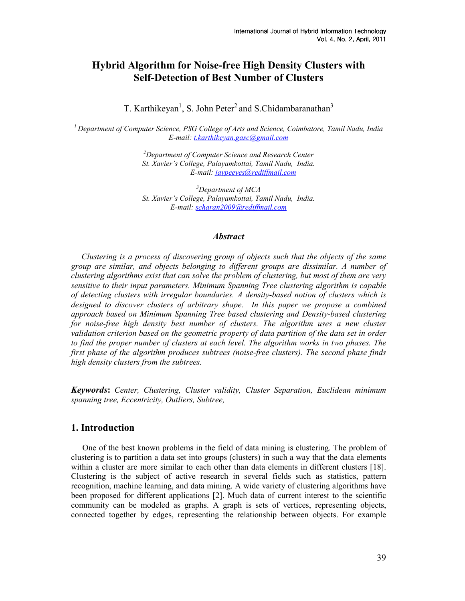# Hybrid Algorithm for Noise-free High Density Clusters with Self-Detection of Best Number of Clusters

T. Karthikeyan<sup>1</sup>, S. John Peter<sup>2</sup> and S.Chidambaranathan<sup>3</sup>

 $<sup>1</sup>$  Department of Computer Science, PSG College of Arts and Science, Coimbatore, Tamil Nadu, India</sup> E-mail: t.karthikeyan.gasc@gmail.com

> $2$ Department of Computer Science and Research Center St. Xavier's College, Palayamkottai, Tamil Nadu, India. E-mail: jaypeeyes@rediffmail.com

> $3$ Department of MCA St. Xavier's College, Palayamkottai, Tamil Nadu, India. E-mail: scharan2009@rediffmail.com

#### **Abstract**

 Clustering is a process of discovering group of objects such that the objects of the same group are similar, and objects belonging to different groups are dissimilar. A number of clustering algorithms exist that can solve the problem of clustering, but most of them are very sensitive to their input parameters. Minimum Spanning Tree clustering algorithm is capable of detecting clusters with irregular boundaries. A density-based notion of clusters which is designed to discover clusters of arbitrary shape. In this paper we propose a combined approach based on Minimum Spanning Tree based clustering and Density-based clustering for noise-free high density best number of clusters. The algorithm uses a new cluster validation criterion based on the geometric property of data partition of the data set in order to find the proper number of clusters at each level. The algorithm works in two phases. The first phase of the algorithm produces subtrees (noise-free clusters). The second phase finds high density clusters from the subtrees.

Keywords: Center, Clustering, Cluster validity, Cluster Separation, Euclidean minimum spanning tree, Eccentricity, Outliers, Subtree,

## 1. Introduction

One of the best known problems in the field of data mining is clustering. The problem of clustering is to partition a data set into groups (clusters) in such a way that the data elements within a cluster are more similar to each other than data elements in different clusters [18]. Clustering is the subject of active research in several fields such as statistics, pattern recognition, machine learning, and data mining. A wide variety of clustering algorithms have been proposed for different applications [2]. Much data of current interest to the scientific community can be modeled as graphs. A graph is sets of vertices, representing objects, connected together by edges, representing the relationship between objects. For example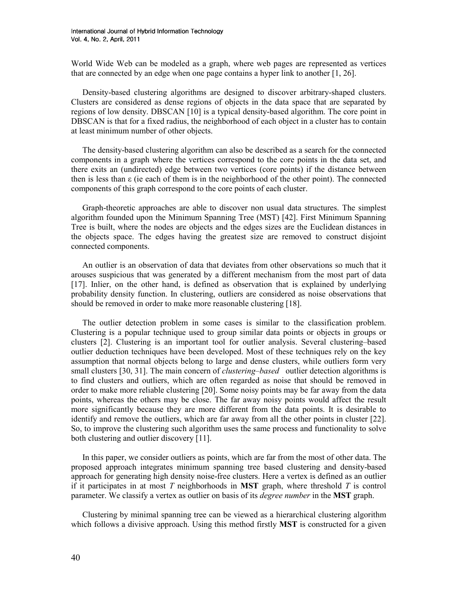World Wide Web can be modeled as a graph, where web pages are represented as vertices that are connected by an edge when one page contains a hyper link to another [1, 26].

Density-based clustering algorithms are designed to discover arbitrary-shaped clusters. Clusters are considered as dense regions of objects in the data space that are separated by regions of low density. DBSCAN [10] is a typical density-based algorithm. The core point in DBSCAN is that for a fixed radius, the neighborhood of each object in a cluster has to contain at least minimum number of other objects.

The density-based clustering algorithm can also be described as a search for the connected components in a graph where the vertices correspond to the core points in the data set, and there exits an (undirected) edge between two vertices (core points) if the distance between then is less than ε (ie each of them is in the neighborhood of the other point). The connected components of this graph correspond to the core points of each cluster.

Graph-theoretic approaches are able to discover non usual data structures. The simplest algorithm founded upon the Minimum Spanning Tree (MST) [42]. First Minimum Spanning Tree is built, where the nodes are objects and the edges sizes are the Euclidean distances in the objects space. The edges having the greatest size are removed to construct disjoint connected components.

An outlier is an observation of data that deviates from other observations so much that it arouses suspicious that was generated by a different mechanism from the most part of data [17]. Inlier, on the other hand, is defined as observation that is explained by underlying probability density function. In clustering, outliers are considered as noise observations that should be removed in order to make more reasonable clustering [18].

The outlier detection problem in some cases is similar to the classification problem. Clustering is a popular technique used to group similar data points or objects in groups or clusters [2]. Clustering is an important tool for outlier analysis. Several clustering–based outlier deduction techniques have been developed. Most of these techniques rely on the key assumption that normal objects belong to large and dense clusters, while outliers form very small clusters [30, 31]. The main concern of *clustering–based* outlier detection algorithms is to find clusters and outliers, which are often regarded as noise that should be removed in order to make more reliable clustering [20]. Some noisy points may be far away from the data points, whereas the others may be close. The far away noisy points would affect the result more significantly because they are more different from the data points. It is desirable to identify and remove the outliers, which are far away from all the other points in cluster [22]. So, to improve the clustering such algorithm uses the same process and functionality to solve both clustering and outlier discovery [11].

In this paper, we consider outliers as points, which are far from the most of other data. The proposed approach integrates minimum spanning tree based clustering and density-based approach for generating high density noise-free clusters. Here a vertex is defined as an outlier if it participates in at most T neighborhoods in **MST** graph, where threshold T is control parameter. We classify a vertex as outlier on basis of its *degree number* in the **MST** graph.

Clustering by minimal spanning tree can be viewed as a hierarchical clustering algorithm which follows a divisive approach. Using this method firstly **MST** is constructed for a given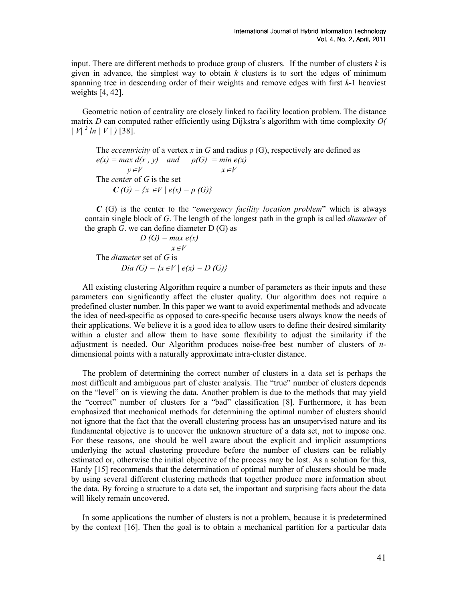input. There are different methods to produce group of clusters. If the number of clusters  $k$  is given in advance, the simplest way to obtain  $k$  clusters is to sort the edges of minimum spanning tree in descending order of their weights and remove edges with first  $k-1$  heaviest weights [4, 42].

Geometric notion of centrality are closely linked to facility location problem. The distance matrix  $D$  can computed rather efficiently using Dijkstra's algorithm with time complexity  $O($  $|V|^2 ln |V|$  [38].

The *eccentricity* of a vertex x in G and radius  $\rho(G)$ , respectively are defined as  $e(x) = max d(x, y)$  and  $\rho(G) = min e(x)$  $y \in V$   $x \in V$ The *center* of G is the set  $C(G) = \{x \in V \mid e(x) = \rho(G)\}\$ 

 $C(G)$  is the center to the "emergency facility location problem" which is always contain single block of  $G$ . The length of the longest path in the graph is called *diameter* of the graph  $G$ , we can define diameter  $D(G)$  as

 $D(G) = max e(x)$  x∈V The *diameter* set of G is Dia (G) = { $x ∈ V | e(x) = D(G)$ }

All existing clustering Algorithm require a number of parameters as their inputs and these parameters can significantly affect the cluster quality. Our algorithm does not require a predefined cluster number. In this paper we want to avoid experimental methods and advocate the idea of need-specific as opposed to care-specific because users always know the needs of their applications. We believe it is a good idea to allow users to define their desired similarity within a cluster and allow them to have some flexibility to adjust the similarity if the adjustment is needed. Our Algorithm produces noise-free best number of clusters of ndimensional points with a naturally approximate intra-cluster distance.

The problem of determining the correct number of clusters in a data set is perhaps the most difficult and ambiguous part of cluster analysis. The "true" number of clusters depends on the "level" on is viewing the data. Another problem is due to the methods that may yield the "correct" number of clusters for a "bad" classification [8]. Furthermore, it has been emphasized that mechanical methods for determining the optimal number of clusters should not ignore that the fact that the overall clustering process has an unsupervised nature and its fundamental objective is to uncover the unknown structure of a data set, not to impose one. For these reasons, one should be well aware about the explicit and implicit assumptions underlying the actual clustering procedure before the number of clusters can be reliably estimated or, otherwise the initial objective of the process may be lost. As a solution for this, Hardy [15] recommends that the determination of optimal number of clusters should be made by using several different clustering methods that together produce more information about the data. By forcing a structure to a data set, the important and surprising facts about the data will likely remain uncovered.

In some applications the number of clusters is not a problem, because it is predetermined by the context [16]. Then the goal is to obtain a mechanical partition for a particular data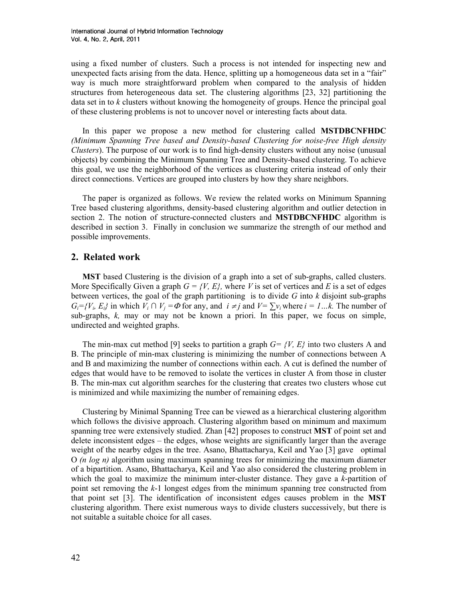using a fixed number of clusters. Such a process is not intended for inspecting new and unexpected facts arising from the data. Hence, splitting up a homogeneous data set in a "fair" way is much more straightforward problem when compared to the analysis of hidden structures from heterogeneous data set. The clustering algorithms [23, 32] partitioning the data set in to k clusters without knowing the homogeneity of groups. Hence the principal goal of these clustering problems is not to uncover novel or interesting facts about data.

In this paper we propose a new method for clustering called MSTDBCNFHDC (Minimum Spanning Tree based and Density-based Clustering for noise-free High density Clusters). The purpose of our work is to find high-density clusters without any noise (unusual objects) by combining the Minimum Spanning Tree and Density-based clustering. To achieve this goal, we use the neighborhood of the vertices as clustering criteria instead of only their direct connections. Vertices are grouped into clusters by how they share neighbors.

The paper is organized as follows. We review the related works on Minimum Spanning Tree based clustering algorithms, density-based clustering algorithm and outlier detection in section 2. The notion of structure-connected clusters and **MSTDBCNFHDC** algorithm is described in section 3. Finally in conclusion we summarize the strength of our method and possible improvements.

#### 2. Related work

MST based Clustering is the division of a graph into a set of sub-graphs, called clusters. More Specifically Given a graph  $G = \{V, E\}$ , where V is set of vertices and E is a set of edges between vertices, the goal of the graph partitioning is to divide  $G$  into  $k$  disjoint sub-graphs  $G_i = \{V_i, E_i\}$  in which  $V_i \cap V_j = \Phi$  for any, and  $i \neq j$  and  $V = \sum v_i$  where  $i = 1...k$ . The number of sub-graphs, k, may or may not be known a priori. In this paper, we focus on simple, undirected and weighted graphs.

The min-max cut method [9] seeks to partition a graph  $G = \{V, E\}$  into two clusters A and B. The principle of min-max clustering is minimizing the number of connections between A and B and maximizing the number of connections within each. A cut is defined the number of edges that would have to be removed to isolate the vertices in cluster A from those in cluster B. The min-max cut algorithm searches for the clustering that creates two clusters whose cut is minimized and while maximizing the number of remaining edges.

Clustering by Minimal Spanning Tree can be viewed as a hierarchical clustering algorithm which follows the divisive approach. Clustering algorithm based on minimum and maximum spanning tree were extensively studied. Zhan [42] proposes to construct **MST** of point set and delete inconsistent edges – the edges, whose weights are significantly larger than the average weight of the nearby edges in the tree. Asano, Bhattacharya, Keil and Yao [3] gave optimal O ( $n \log n$ ) algorithm using maximum spanning trees for minimizing the maximum diameter of a bipartition. Asano, Bhattacharya, Keil and Yao also considered the clustering problem in which the goal to maximize the minimum inter-cluster distance. They gave a k-partition of point set removing the k-1 longest edges from the minimum spanning tree constructed from that point set [3]. The identification of inconsistent edges causes problem in the MST clustering algorithm. There exist numerous ways to divide clusters successively, but there is not suitable a suitable choice for all cases.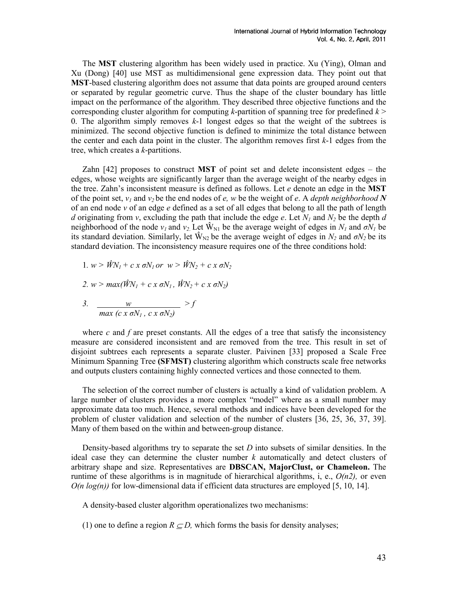The MST clustering algorithm has been widely used in practice. Xu (Ying), Olman and Xu (Dong) [40] use MST as multidimensional gene expression data. They point out that MST-based clustering algorithm does not assume that data points are grouped around centers or separated by regular geometric curve. Thus the shape of the cluster boundary has little impact on the performance of the algorithm. They described three objective functions and the corresponding cluster algorithm for computing k-partition of spanning tree for predefined  $k$ 0. The algorithm simply removes  $k-1$  longest edges so that the weight of the subtrees is minimized. The second objective function is defined to minimize the total distance between the center and each data point in the cluster. The algorithm removes first k-1 edges from the tree, which creates a k-partitions.

Zahn  $[42]$  proposes to construct **MST** of point set and delete inconsistent edges – the edges, whose weights are significantly larger than the average weight of the nearby edges in the tree. Zahn's inconsistent measure is defined as follows. Let  $e$  denote an edge in the **MST** of the point set,  $v_1$  and  $v_2$  be the end nodes of e, w be the weight of e. A *depth neighborhood* N of an end node  $\nu$  of an edge e defined as a set of all edges that belong to all the path of length d originating from v, excluding the path that include the edge e. Let  $N_1$  and  $N_2$  be the depth d neighborhood of the node  $v_1$  and  $v_2$ . Let  $\hat{W}_{N1}$  be the average weight of edges in  $N_1$  and  $\sigma N_1$  be its standard deviation. Similarly, let  $\hat{W}_{N2}$  be the average weight of edges in  $N_2$  and  $\sigma N_2$  be its standard deviation. The inconsistency measure requires one of the three conditions hold:

\n- 1. 
$$
w > \hat{W}N_1 + c \, x \, \sigma N_1 \, \text{or} \, w > \hat{W}N_2 + c \, x \, \sigma N_2
$$
\n- 2.  $w > \max(\hat{W}N_1 + c \, x \, \sigma N_1, \, \hat{W}N_2 + c \, x \, \sigma N_2)$
\n- 3.  $\frac{w}{\max(c \, x \, \sigma N_1, \, c \, x \, \sigma N_2)} > f$
\n

where c and f are preset constants. All the edges of a tree that satisfy the inconsistency measure are considered inconsistent and are removed from the tree. This result in set of disjoint subtrees each represents a separate cluster. Paivinen [33] proposed a Scale Free Minimum Spanning Tree (SFMST) clustering algorithm which constructs scale free networks and outputs clusters containing highly connected vertices and those connected to them.

The selection of the correct number of clusters is actually a kind of validation problem. A large number of clusters provides a more complex "model" where as a small number may approximate data too much. Hence, several methods and indices have been developed for the problem of cluster validation and selection of the number of clusters [36, 25, 36, 37, 39]. Many of them based on the within and between-group distance.

Density-based algorithms try to separate the set  $D$  into subsets of similar densities. In the ideal case they can determine the cluster number  $k$  automatically and detect clusters of arbitrary shape and size. Representatives are DBSCAN, MajorClust, or Chameleon. The runtime of these algorithms is in magnitude of hierarchical algorithms, i, e.,  $O(n2)$ , or even  $O(n \log(n))$  for low-dimensional data if efficient data structures are employed [5, 10, 14].

A density-based cluster algorithm operationalizes two mechanisms:

(1) one to define a region  $R \subseteq D$ , which forms the basis for density analyses;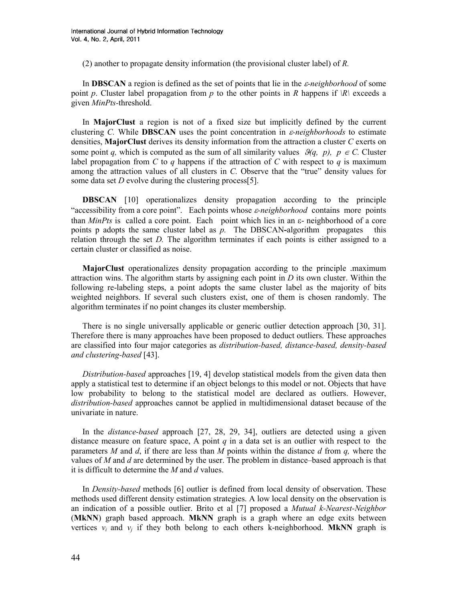(2) another to propagate density information (the provisional cluster label) of R.

In **DBSCAN** a region is defined as the set of points that lie in the *ε-neighborhood* of some point p. Cluster label propagation from p to the other points in R happens if  $|R|$  exceeds a given MinPts-threshold.

In MajorClust a region is not of a fixed size but implicitly defined by the current clustering C. While **DBSCAN** uses the point concentration in  $\varepsilon$ -neighborhoods to estimate densities, MajorClust derives its density information from the attraction a cluster C exerts on some point q, which is computed as the sum of all similarity values  $\mathcal{G}(q, p)$ ,  $p \in C$ . Cluster label propagation from C to q happens if the attraction of C with respect to q is maximum among the attraction values of all clusters in C. Observe that the "true" density values for some data set *D* evolve during the clustering process[5].

DBSCAN [10] operationalizes density propagation according to the principle "accessibility from a core point". Each points whose  $\varepsilon$ -neighborhood contains more points than MinPts is called a core point. Each point which lies in an  $\varepsilon$ - neighborhood of a core points p adopts the same cluster label as  $p$ . The DBSCAN-algorithm propagates this relation through the set D. The algorithm terminates if each points is either assigned to a certain cluster or classified as noise.

MajorClust operationalizes density propagation according to the principle .maximum attraction wins. The algorithm starts by assigning each point in  $D$  its own cluster. Within the following re-labeling steps, a point adopts the same cluster label as the majority of bits weighted neighbors. If several such clusters exist, one of them is chosen randomly. The algorithm terminates if no point changes its cluster membership.

There is no single universally applicable or generic outlier detection approach [30, 31]. Therefore there is many approaches have been proposed to deduct outliers. These approaches are classified into four major categories as distribution-based, distance-based, density-based and clustering-based [43].

Distribution-based approaches [19, 4] develop statistical models from the given data then apply a statistical test to determine if an object belongs to this model or not. Objects that have low probability to belong to the statistical model are declared as outliers. However, distribution-based approaches cannot be applied in multidimensional dataset because of the univariate in nature.

In the *distance-based* approach [27, 28, 29, 34], outliers are detected using a given distance measure on feature space, A point  $q$  in a data set is an outlier with respect to the parameters M and d, if there are less than M points within the distance d from q, where the values of M and d are determined by the user. The problem in distance–based approach is that it is difficult to determine the  $M$  and  $d$  values.

In Density-based methods [6] outlier is defined from local density of observation. These methods used different density estimation strategies. A low local density on the observation is an indication of a possible outlier. Brito et al [7] proposed a Mutual k-Nearest-Neighbor (MkNN) graph based approach. MkNN graph is a graph where an edge exits between vertices  $v_i$  and  $v_j$  if they both belong to each others k-neighborhood. MkNN graph is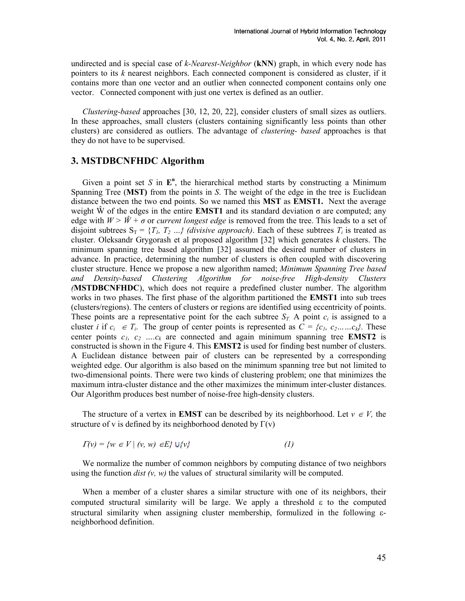undirected and is special case of k-Nearest-Neighbor  $(kNN)$  graph, in which every node has pointers to its  $k$  nearest neighbors. Each connected component is considered as cluster, if it contains more than one vector and an outlier when connected component contains only one vector. Connected component with just one vertex is defined as an outlier.

Clustering-based approaches [30, 12, 20, 22], consider clusters of small sizes as outliers. In these approaches, small clusters (clusters containing significantly less points than other clusters) are considered as outliers. The advantage of clustering- based approaches is that they do not have to be supervised.

## 3. MSTDBCNFHDC Algorithm

Given a point set S in  $E<sup>n</sup>$ , the hierarchical method starts by constructing a Minimum Spanning Tree ( $MST$ ) from the points in S. The weight of the edge in the tree is Euclidean distance between the two end points. So we named this MST as EMST1. Next the average weight  $\hat{W}$  of the edges in the entire **EMST1** and its standard deviation  $\sigma$  are computed; any edge with  $W > W + \sigma$  or *current longest edge* is removed from the tree. This leads to a set of disjoint subtrees  $S_T = \{T_1, T_2, \ldots\}$  (divisive approach). Each of these subtrees  $T_i$  is treated as cluster. Oleksandr Grygorash et al proposed algorithm [32] which generates  $k$  clusters. The minimum spanning tree based algorithm [32] assumed the desired number of clusters in advance. In practice, determining the number of clusters is often coupled with discovering cluster structure. Hence we propose a new algorithm named; Minimum Spanning Tree based and Density-based Clustering Algorithm for noise-free High-density Clusters (MSTDBCNFHDC), which does not require a predefined cluster number. The algorithm works in two phases. The first phase of the algorithm partitioned the **EMST1** into sub trees (clusters/regions). The centers of clusters or regions are identified using eccentricity of points. These points are a representative point for the each subtree  $S_T$ . A point  $c_i$  is assigned to a cluster *i* if  $c_i \in T_i$ . The group of center points is represented as  $C = \{c_1, c_2, \ldots, c_k\}$ . These center points  $c_1$ ,  $c_2$  .... $c_k$  are connected and again minimum spanning tree **EMST2** is constructed is shown in the Figure 4. This EMST2 is used for finding best number of clusters. A Euclidean distance between pair of clusters can be represented by a corresponding weighted edge. Our algorithm is also based on the minimum spanning tree but not limited to two-dimensional points. There were two kinds of clustering problem; one that minimizes the maximum intra-cluster distance and the other maximizes the minimum inter-cluster distances. Our Algorithm produces best number of noise-free high-density clusters.

The structure of a vertex in **EMST** can be described by its neighborhood. Let  $v \in V$ , the structure of v is defined by its neighborhood denoted by  $\Gamma(v)$ 

$$
\Gamma(v) = \{ w \in V \mid (v, w) \in E \} \cup \{ v \}
$$
 (1)

We normalize the number of common neighbors by computing distance of two neighbors using the function *dist*  $(v, w)$  the values of structural similarity will be computed.

When a member of a cluster shares a similar structure with one of its neighbors, their computed structural similarity will be large. We apply a threshold  $\varepsilon$  to the computed structural similarity when assigning cluster membership, formulized in the following εneighborhood definition.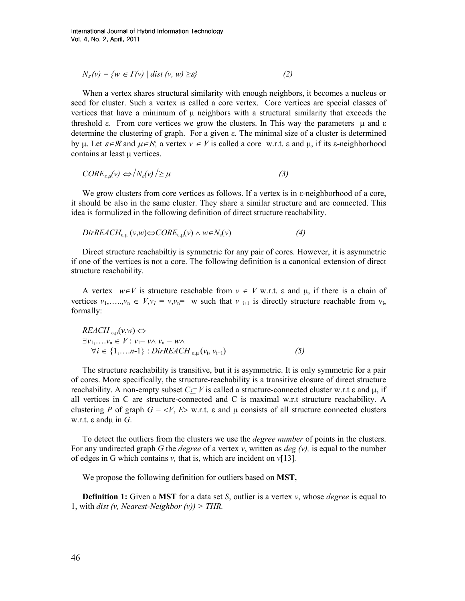$$
N_{\varepsilon}(v) = \{ w \in \Gamma(v) \mid \text{dist}(v, w) \geq \varepsilon \}
$$
 (2)

When a vertex shares structural similarity with enough neighbors, it becomes a nucleus or seed for cluster. Such a vertex is called a core vertex. Core vertices are special classes of vertices that have a minimum of  $\mu$  neighbors with a structural similarity that exceeds the threshold  $\epsilon$ . From core vertices we grow the clusters. In This way the parameters  $\mu$  and  $\epsilon$ determine the clustering of graph. For a given ε. The minimal size of a cluster is determined by u. Let  $\varepsilon \in \mathcal{B}$  and  $\mu \in \mathcal{N}$ , a vertex  $v \in V$  is called a core w.r.t.  $\varepsilon$  and  $\mu$ , if its  $\varepsilon$ -neighborhood contains at least  $\mu$  vertices.

$$
CORE_{\varepsilon,\mu}(v) \Leftrightarrow \langle N_{\varepsilon}(v) \rangle \ge \mu \tag{3}
$$

We grow clusters from core vertices as follows. If a vertex is in ε-neighborhood of a core, it should be also in the same cluster. They share a similar structure and are connected. This idea is formulized in the following definition of direct structure reachability.

$$
DirREACH_{\varepsilon,\mu}(v,w) \Leftrightarrow CORE_{\varepsilon,\mu}(v) \wedge w \in N_{\varepsilon}(v)
$$
\n
$$
(4)
$$

Direct structure reachabiltiy is symmetric for any pair of cores. However, it is asymmetric if one of the vertices is not a core. The following definition is a canonical extension of direct structure reachability.

A vertex  $w \in V$  is structure reachable from  $v \in V$  w.r.t.  $\varepsilon$  and  $\mu$ , if there is a chain of vertices  $v_1, \ldots, v_n \in V, v_l = v, v_n = w$  such that  $v_{i+1}$  is directly structure reachable from  $v_i$ , formally:

$$
REACH_{\varepsilon,\mu}(v,w) \Leftrightarrow
$$
  
\n
$$
\exists v_1,...v_n \in V: v_1 = v \land v_n = w \land
$$
  
\n
$$
\forall i \in \{1,...n-1\}: DirREACH_{\varepsilon,\mu}(v_i, v_{i+1})
$$
 (5)

The structure reachability is transitive, but it is asymmetric. It is only symmetric for a pair of cores. More specifically, the structure-reachability is a transitive closure of direct structure reachability. A non-empty subset  $C\subset V$  is called a structure-connected cluster w.r.t  $\varepsilon$  and  $\mu$ , if all vertices in C are structure-connected and C is maximal w.r.t structure reachability. A clustering P of graph  $G = \langle V, E \rangle$  w.r.t.  $\varepsilon$  and  $\mu$  consists of all structure connected clusters w.r.t.  $ε$  and $μ$  in  $G$ .

To detect the outliers from the clusters we use the *degree number* of points in the clusters. For any undirected graph G the *degree* of a vertex v, written as *deg*  $(v)$ , is equal to the number of edges in G which contains v, that is, which are incident on  $\nu$ [13].

We propose the following definition for outliers based on **MST**,

**Definition 1:** Given a **MST** for a data set S, outlier is a vertex v, whose *degree* is equal to 1, with *dist (v, Nearest-Neighbor (v))* > *THR.*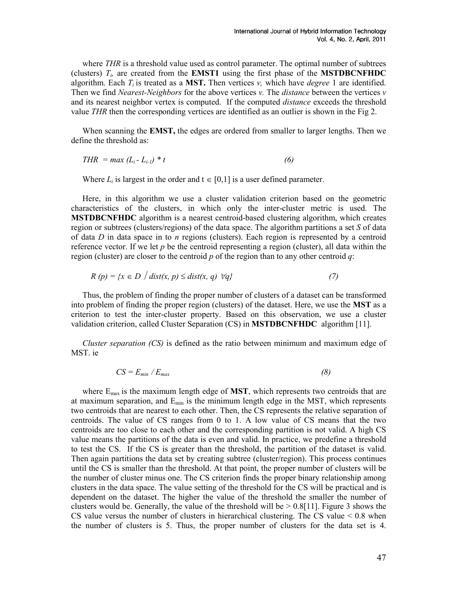where THR is a threshold value used as control parameter. The optimal number of subtrees (clusters)  $T<sub>i</sub>$  are created from the **EMST1** using the first phase of the **MSTDBCNFHDC** algorithm. Each  $T_i$  is treated as a MST. Then vertices v, which have *degree* 1 are identified. Then we find *Nearest-Neighbors* for the above vertices  $v$ . The *distance* between the vertices  $v$ and its nearest neighbor vertex is computed. If the computed distance exceeds the threshold value THR then the corresponding vertices are identified as an outlier is shown in the Fig 2.

When scanning the **EMST**, the edges are ordered from smaller to larger lengths. Then we define the threshold as:

$$
THR = max (L_i - L_{i-1}) * t \tag{6}
$$

Where  $L_i$  is largest in the order and  $t \in [0,1]$  is a user defined parameter.

Here, in this algorithm we use a cluster validation criterion based on the geometric characteristics of the clusters, in which only the inter-cluster metric is used. The MSTDBCNFHDC algorithm is a nearest centroid-based clustering algorithm, which creates region or subtrees (clusters/regions) of the data space. The algorithm partitions a set S of data of data  $D$  in data space in to n regions (clusters). Each region is represented by a centroid reference vector. If we let  $p$  be the centroid representing a region (cluster), all data within the region (cluster) are closer to the centroid p of the region than to any other centroid q:

$$
R(p) = \{x \in D \mid dist(x, p) \leq dist(x, q) \ \forall q\}
$$
\n<sup>(7)</sup>

Thus, the problem of finding the proper number of clusters of a dataset can be transformed into problem of finding the proper region (clusters) of the dataset. Here, we use the MST as a criterion to test the inter-cluster property. Based on this observation, we use a cluster validation criterion, called Cluster Separation (CS) in MSTDBCNFHDC algorithm [11].

Cluster separation (CS) is defined as the ratio between minimum and maximum edge of MST. ie

$$
CS = E_{min} / E_{max} \tag{8}
$$

where  $E_{\text{max}}$  is the maximum length edge of **MST**, which represents two centroids that are at maximum separation, and  $E_{\text{min}}$  is the minimum length edge in the MST, which represents two centroids that are nearest to each other. Then, the CS represents the relative separation of centroids. The value of CS ranges from 0 to 1. A low value of CS means that the two centroids are too close to each other and the corresponding partition is not valid. A high CS value means the partitions of the data is even and valid. In practice, we predefine a threshold to test the CS. If the CS is greater than the threshold, the partition of the dataset is valid. Then again partitions the data set by creating subtree (cluster/region). This process continues until the CS is smaller than the threshold. At that point, the proper number of clusters will be the number of cluster minus one. The CS criterion finds the proper binary relationship among clusters in the data space. The value setting of the threshold for the CS will be practical and is dependent on the dataset. The higher the value of the threshold the smaller the number of clusters would be. Generally, the value of the threshold will be  $> 0.8[11]$ . Figure 3 shows the CS value versus the number of clusters in hierarchical clustering. The CS value  $\leq 0.8$  when the number of clusters is 5. Thus, the proper number of clusters for the data set is 4.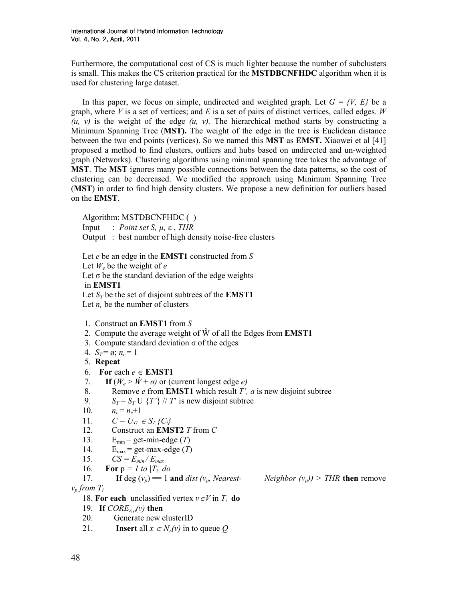Furthermore, the computational cost of CS is much lighter because the number of subclusters is small. This makes the CS criterion practical for the **MSTDBCNFHDC** algorithm when it is used for clustering large dataset.

In this paper, we focus on simple, undirected and weighted graph. Let  $G = \{V, E\}$  be a graph, where V is a set of vertices; and E is a set of pairs of distinct vertices, called edges. W  $(u, v)$  is the weight of the edge  $(u, v)$ . The hierarchical method starts by constructing a Minimum Spanning Tree (MST). The weight of the edge in the tree is Euclidean distance between the two end points (vertices). So we named this MST as EMST. Xiaowei et al [41] proposed a method to find clusters, outliers and hubs based on undirected and un-weighted graph (Networks). Clustering algorithms using minimal spanning tree takes the advantage of **MST**. The **MST** ignores many possible connections between the data patterns, so the cost of clustering can be decreased. We modified the approach using Minimum Spanning Tree (MST) in order to find high density clusters. We propose a new definition for outliers based on the EMST.

Algorithm: MSTDBCNFHDC ( )

Input : *Point set S,*  $\mu$ *, ε, THR* 

Output : best number of high density noise-free clusters

Let  $e$  be an edge in the **EMST1** constructed from  $S$ Let  $W_e$  be the weight of  $e$ Let  $\sigma$  be the standard deviation of the edge weights in EMST1 Let  $S_T$  be the set of disjoint subtrees of the **EMST1** Let  $n_c$  be the number of clusters

- 1. Construct an EMST1 from S
- 2. Compute the average weight of  $\hat{W}$  of all the Edges from **EMST1**
- 3. Compute standard deviation  $\sigma$  of the edges
- 4.  $S_T = \emptyset$ ;  $n_c = 1$

5. Repeat

- 6. For each  $e \in EMST1$
- 7. If  $(W_e > \hat{W} + \sigma)$  or (current longest edge e)
- 8. Remove *e* from **EMST1** which result *T'*, *a* is new disjoint subtree<br>9.  $S_T = S_T U \{T'\}/T$  is new disjoint subtree
- $S_T = S_T U$  {T'} // T' is new disjoint subtree
- 10.  $n_c = n_c + 1$
- 11.  $C = U_{Ti} \in S_T \{C_i\}$
- 12. Construct an **EMST2** T from C
- 13.  $E_{min} = get-min-edge(T)$
- 14.  $E_{\text{max}} = \text{get-max-edge}(T)$
- 15.  $CS = E_{min}/E_{max}$
- 16. **For**  $p = I$  to  $|T_i|$  do
- 17. If deg  $(v_p) = 1$  and dist  $(v_p$ , Nearest- Neighbor  $(v_p) >$  THR then remove
- 

 $v_p$  from  $T_i$ 

- 18. For each unclassified vertex  $v \in V$  in  $T_i$  do
- 19. If  $CORE_{\varepsilon,\mu}(v)$  then<br>20. Generate new of
- Generate new clusterID
- 21. **Insert** all  $x \in N_{\epsilon}(v)$  in to queue Q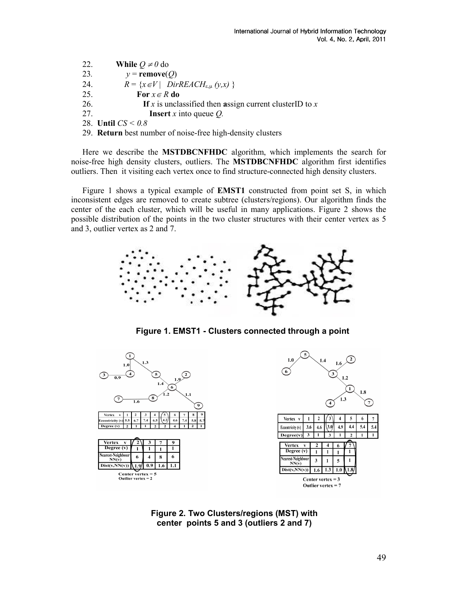- 22. While  $Q \neq 0$  do
- 23.  $y = \text{remove}(Q)$
- 24.  $R = \{x \in V \mid DirREACH_{\varepsilon,\mu}(y,x) \}$
- 25. For  $x \in R$  do
- 26. If x is unclassified then assign current clusterID to x
- 27. **Insert** x into queue Q.
- 28. Until  $CS < 0.8$
- 29. Return best number of noise-free high-density clusters

Here we describe the MSTDBCNFHDC algorithm, which implements the search for noise-free high density clusters, outliers. The MSTDBCNFHDC algorithm first identifies outliers. Then it visiting each vertex once to find structure-connected high density clusters.

Figure 1 shows a typical example of EMST1 constructed from point set S, in which inconsistent edges are removed to create subtree (clusters/regions). Our algorithm finds the center of the each cluster, which will be useful in many applications. Figure 2 shows the possible distribution of the points in the two cluster structures with their center vertex as 5 and 3, outlier vertex as 2 and 7.



Figure 1. EMST1 - Clusters connected through a point



Figure 2. Two Clusters/regions (MST) with center points 5 and 3 (outliers 2 and 7)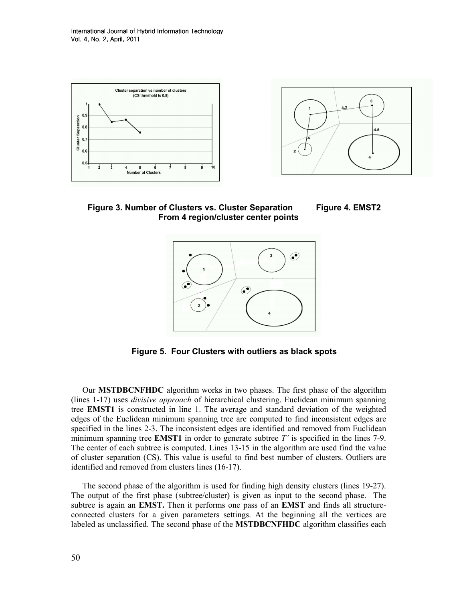International Journal of Hybrid Information Technology Vol. 4, No. 2, April, 2011





Figure 3. Number of Clusters vs. Cluster Separation Figure 4. EMST2 From 4 region/cluster center points





Figure 5. Four Clusters with outliers as black spots

Our MSTDBCNFHDC algorithm works in two phases. The first phase of the algorithm (lines 1-17) uses divisive approach of hierarchical clustering. Euclidean minimum spanning tree EMST1 is constructed in line 1. The average and standard deviation of the weighted edges of the Euclidean minimum spanning tree are computed to find inconsistent edges are specified in the lines 2-3. The inconsistent edges are identified and removed from Euclidean minimum spanning tree **EMST1** in order to generate subtree  $T'$  is specified in the lines 7-9. The center of each subtree is computed. Lines 13-15 in the algorithm are used find the value of cluster separation (CS). This value is useful to find best number of clusters. Outliers are identified and removed from clusters lines (16-17).

The second phase of the algorithm is used for finding high density clusters (lines 19-27). The output of the first phase (subtree/cluster) is given as input to the second phase. The subtree is again an **EMST**. Then it performs one pass of an **EMST** and finds all structureconnected clusters for a given parameters settings. At the beginning all the vertices are labeled as unclassified. The second phase of the MSTDBCNFHDC algorithm classifies each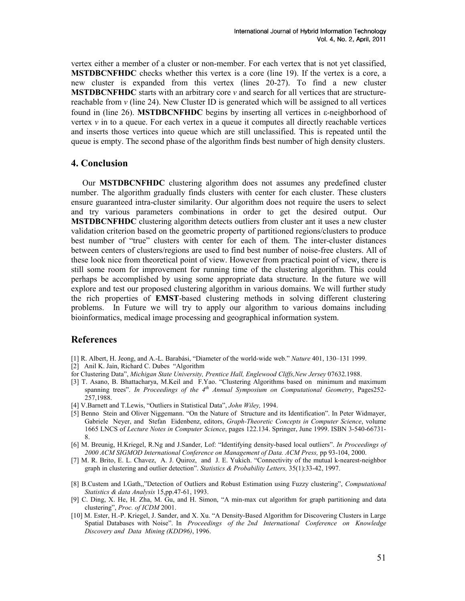vertex either a member of a cluster or non-member. For each vertex that is not yet classified, MSTDBCNFHDC checks whether this vertex is a core (line 19). If the vertex is a core, a new cluster is expanded from this vertex (lines 20-27). To find a new cluster **MSTDBCNFHDC** starts with an arbitrary core  $\nu$  and search for all vertices that are structurereachable from  $\nu$  (line 24). New Cluster ID is generated which will be assigned to all vertices found in (line 26). MSTDBCNFHDC begins by inserting all vertices in ε-neighborhood of vertex  $\nu$  in to a queue. For each vertex in a queue it computes all directly reachable vertices and inserts those vertices into queue which are still unclassified. This is repeated until the queue is empty. The second phase of the algorithm finds best number of high density clusters.

## 4. Conclusion

Our MSTDBCNFHDC clustering algorithm does not assumes any predefined cluster number. The algorithm gradually finds clusters with center for each cluster. These clusters ensure guaranteed intra-cluster similarity. Our algorithm does not require the users to select and try various parameters combinations in order to get the desired output. Our MSTDBCNFHDC clustering algorithm detects outliers from cluster ant it uses a new cluster validation criterion based on the geometric property of partitioned regions/clusters to produce best number of "true" clusters with center for each of them. The inter-cluster distances between centers of clusters/regions are used to find best number of noise-free clusters. All of these look nice from theoretical point of view. However from practical point of view, there is still some room for improvement for running time of the clustering algorithm. This could perhaps be accomplished by using some appropriate data structure. In the future we will explore and test our proposed clustering algorithm in various domains. We will further study the rich properties of EMST-based clustering methods in solving different clustering problems. In Future we will try to apply our algorithm to various domains including bioinformatics, medical image processing and geographical information system.

# References

- [1] R. Albert, H. Jeong, and A.-L. Barabási, "Diameter of the world-wide web." Nature 401, 130–131 1999.
- [2] Anil K. Jain, Richard C. Dubes "Algorithm
- for Clustering Data", Michigan State University, Prentice Hall, Englewood Cliffs, New Jersey 07632.1988.
- [3] T. Asano, B. Bhattacharya, M.Keil and F.Yao. "Clustering Algorithms based on minimum and maximum spanning trees". In Proceedings of the  $4<sup>th</sup>$  Annual Symposium on Computational Geometry, Pages252-257,1988.
- [4] V.Barnett and T.Lewis, "Outliers in Statistical Data", John Wiley, 1994.
- [5] Benno Stein and Oliver Niggemann. "On the Nature of Structure and its Identification". In Peter Widmayer, Gabriele Neyer, and Stefan Eidenbenz, editors, Graph-Theoretic Concepts in Computer Science, volume 1665 LNCS of Lecture Notes in Computer Science, pages 122.134. Springer, June 1999. ISBN 3-540-66731- 8.
- [6] M. Breunig, H.Kriegel, R.Ng and J.Sander, Lof: "Identifying density-based local outliers". In Proceedings of 2000 ACM SIGMOD International Conference on Management of Data. ACM Press, pp 93-104, 2000.
- [7] M. R. Brito, E. L. Chavez, A. J. Quiroz, and J. E. Yukich. "Connectivity of the mutual k-nearest-neighbor graph in clustering and outlier detection". Statistics & Probability Letters, 35(1):33-42, 1997.
- [8] B.Custem and I.Gath,,"Detection of Outliers and Robust Estimation using Fuzzy clustering", Computational Statistics & data Analysis 15,pp.47-61, 1993.
- [9] C. Ding, X. He, H. Zha, M. Gu, and H. Simon, "A min-max cut algorithm for graph partitioning and data clustering", Proc. of ICDM 2001.
- [10] M. Ester, H.-P. Kriegel, J. Sander, and X. Xu. "A Density-Based Algorithm for Discovering Clusters in Large Spatial Databases with Noise". In Proceedings of the 2nd International Conference on Knowledge Discovery and Data Mining (KDD96), 1996.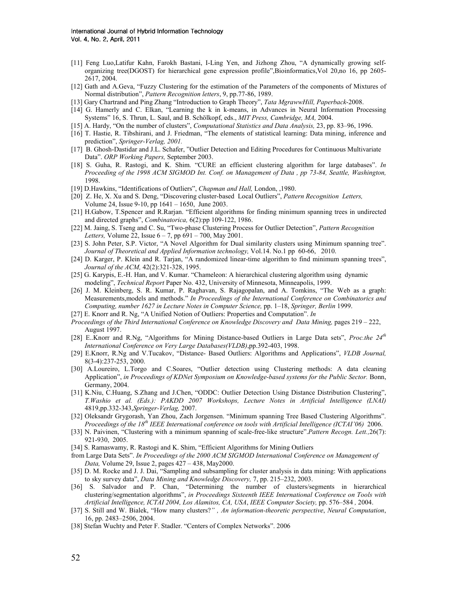- [11] Feng Luo,Latifur Kahn, Farokh Bastani, I-Ling Yen, and Jizhong Zhou, "A dynamically growing selforganizing tree(DGOST) for hierarchical gene expression profile",Bioinformatics,Vol 20,no 16, pp 2605- 2617, 2004.
- [12] Gath and A.Geva, "Fuzzy Clustering for the estimation of the Parameters of the components of Mixtures of Normal distribution", Pattern Recognition letters, 9, pp.77-86, 1989.
- [13] Gary Chartrand and Ping Zhang "Introduction to Graph Theory", Tata MgrawwHill, Paperback-2008.
- [14] G. Hamerly and C. Elkan, "Learning the k in k-means, in Advances in Neural Information Processing Systems" 16, S. Thrun, L. Saul, and B. Schölkopf, eds., MIT Press, Cambridge, MA, 2004.
- [15] A. Hardy, "On the number of clusters", Computational Statistics and Data Analysis, 23, pp. 83–96, 1996.
- [16] T. Hastie, R. Tibshirani, and J. Friedman, "The elements of statistical learning: Data mining, inference and prediction", Springer-Verlag, 2001.
- [17] B. Ghosh-Dastidar and J.L. Schafer, "Outlier Detection and Editing Procedures for Continuous Multivariate Data". ORP Working Papers, September 2003.
- [18] S. Guha, R. Rastogi, and K. Shim. "CURE an efficient clustering algorithm for large databases". In Proceeding of the 1998 ACM SIGMOD Int. Conf. on Management of Data , pp 73-84, Seattle, Washington, 1998.
- [19] D.Hawkins, "Identifications of Outliers", Chapman and Hall, London, ,1980.
- [20] Z. He, X. Xu and S. Deng, "Discovering cluster-based Local Outliers", Pattern Recognition Letters, Volume 24, Issue 9-10, pp 1641 – 1650, June 2003.
- [21] H.Gabow, T.Spencer and R.Rarjan. "Efficient algorithms for finding minimum spanning trees in undirected and directed graphs", Combinatorica, 6(2):pp 109-122, 1986.
- [22] M. Jaing, S. Tseng and C. Su, "Two-phase Clustering Process for Outlier Detection", Pattern Recognition Letters, Volume 22, Issue  $6 - 7$ , pp  $691 - 700$ , May 2001.
- [23] S. John Peter, S.P. Victor, "A Novel Algorithm for Dual similarity clusters using Minimum spanning tree". Journal of Theoretical and Applied Information technology, Vol.14. No.1 pp 60-66, 2010.
- [24] D. Karger, P. Klein and R. Tarjan, "A randomized linear-time algorithm to find minimum spanning trees", Journal of the ACM, 42(2):321-328, 1995.
- [25] G. Karypis, E.-H. Han, and V. Kumar. "Chameleon: A hierarchical clustering algorithm using dynamic modeling", Technical Report Paper No. 432, University of Minnesota, Minneapolis, 1999.
- [26] J. M. Kleinberg, S. R. Kumar, P. Raghavan, S. Rajagopalan, and A. Tomkins, "The Web as a graph: Measurements,models and methods." In Proceedings of the International Conference on Combinatorics and Computing, number 1627 in Lecture Notes in Computer Science, pp. 1–18, Springer, Berlin 1999.
- [27] E. Knorr and R. Ng, "A Unified Notion of Outliers: Properties and Computation". In
- Proceedings of the Third International Conference on Knowledge Discovery and Data Mining, pages 219 222, August 1997.
- [28] E..Knorr and R.Ng, "Algorithms for Mining Distance-based Outliers in Large Data sets", *Proc.the 24<sup>th</sup>* International Conference on Very Large Databases(VLDB),pp.392-403, 1998.
- [29] E.Knorr, R.Ng and V.Tucakov, "Distance- Based Outliers: Algorithms and Applications", VLDB Journal, 8(3-4):237-253, 2000.
- [30] A.Loureiro, L.Torgo and C.Soares, "Outlier detection using Clustering methods: A data cleaning Application", in Proceedings of KDNet Symposium on Knowledge-based systems for the Public Sector. Bonn, Germany, 2004.
- [31] K.Niu, C.Huang, S.Zhang and J.Chen, "ODDC: Outlier Detection Using Distance Distribution Clustering", T.Washio et al. (Eds.): PAKDD 2007 Workshops, Lecture Notes in Artificial Intelligence (LNAI) 4819,pp.332-343,Springer-Verlag, 2007.
- [32] Oleksandr Grygorash, Yan Zhou, Zach Jorgensen. "Minimum spanning Tree Based Clustering Algorithms". Proceedings of the 18<sup>th</sup> IEEE International conference on tools with Artificial Intelligence (ICTAI'06) 2006.
- [33] N. Paivinen, "Clustering with a minimum spanning of scale-free-like structure". Pattern Recogn. Lett., 26(7): 921-930, 2005.
- [34] S. Ramaswamy, R. Rastogi and K. Shim, "Efficient Algorithms for Mining Outliers
- from Large Data Sets". In Proceedings of the 2000 ACM SIGMOD International Conference on Management of Data, Volume 29, Issue 2, pages 427 – 438, May2000.
- [35] D. M. Rocke and J. J. Dai, "Sampling and subsampling for cluster analysis in data mining: With applications to sky survey data", Data Mining and Knowledge Discovery, 7, pp. 215–232, 2003.
- [36] S. Salvador and P. Chan, "Determining the number of clusters/segments in hierarchical clustering/segmentation algorithms", in Proceedings Sixteenth IEEE International Conference on Tools with Artificial Intelligence, ICTAI 2004, Los Alamitos, CA, USA, IEEE Computer Society, pp. 576–584 , 2004.
- [37] S. Still and W. Bialek, "How many clusters?" , An information-theoretic perspective, Neural Computation, 16, pp. 2483–2506, 2004.
- [38] Stefan Wuchty and Peter F. Stadler. "Centers of Complex Networks". 2006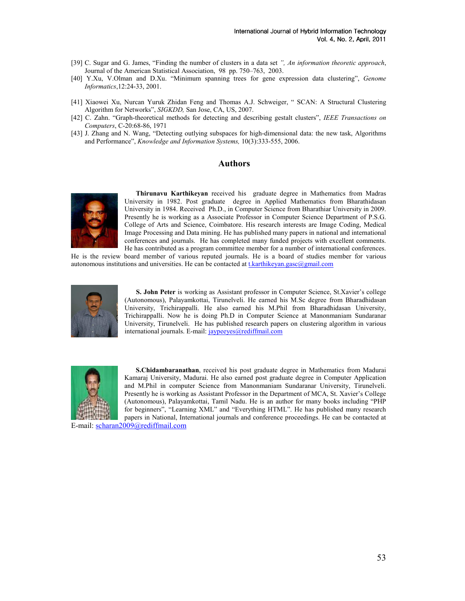- [39] C. Sugar and G. James, "Finding the number of clusters in a data set", An information theoretic approach, Journal of the American Statistical Association, 98 pp. 750–763, 2003.
- [40] Y.Xu, V.Olman and D.Xu. "Minimum spanning trees for gene expression data clustering", Genome Informatics,12:24-33, 2001.
- [41] Xiaowei Xu, Nurcan Yuruk Zhidan Feng and Thomas A.J. Schweiger, " SCAN: A Structural Clustering Algorithm for Networks", SIGKDD, San Jose, CA, US, 2007.
- [42] C. Zahn. "Graph-theoretical methods for detecting and describing gestalt clusters", IEEE Transactions on Computers, C-20:68-86, 1971
- [43] J. Zhang and N. Wang, "Detecting outlying subspaces for high-dimensional data: the new task, Algorithms and Performance", Knowledge and Information Systems, 10(3):333-555, 2006.

#### Authors



Thirunavu Karthikeyan received his graduate degree in Mathematics from Madras University in 1982. Post graduate degree in Applied Mathematics from Bharathidasan University in 1984. Received Ph.D., in Computer Science from Bharathiar University in 2009. Presently he is working as a Associate Professor in Computer Science Department of P.S.G. College of Arts and Science, Coimbatore. His research interests are Image Coding, Medical Image Processing and Data mining. He has published many papers in national and international conferences and journals. He has completed many funded projects with excellent comments. He has contributed as a program committee member for a number of international conferences.

He is the review board member of various reputed journals. He is a board of studies member for various autonomous institutions and universities. He can be contacted at  $\frac{t}{k}$  karthikeyan.gasc@gmail.com



S. John Peter is working as Assistant professor in Computer Science, St.Xavier's college (Autonomous), Palayamkottai, Tirunelveli. He earned his M.Sc degree from Bharadhidasan University, Trichirappalli. He also earned his M.Phil from Bharadhidasan University, Trichirappalli. Now he is doing Ph.D in Computer Science at Manonmaniam Sundaranar University, Tirunelveli. He has published research papers on clustering algorithm in various international journals. E-mail: jaypeeyes@rediffmail.com



S.Chidambaranathan, received his post graduate degree in Mathematics from Madurai Kamaraj University, Madurai. He also earned post graduate degree in Computer Application and M.Phil in computer Science from Manonmaniam Sundaranar University, Tirunelveli. Presently he is working as Assistant Professor in the Department of MCA, St. Xavier's College (Autonomous), Palayamkottai, Tamil Nadu. He is an author for many books including "PHP for beginners", "Learning XML" and "Everything HTML". He has published many research papers in National, International journals and conference proceedings. He can be contacted at

E-mail: scharan2009@rediffmail.com